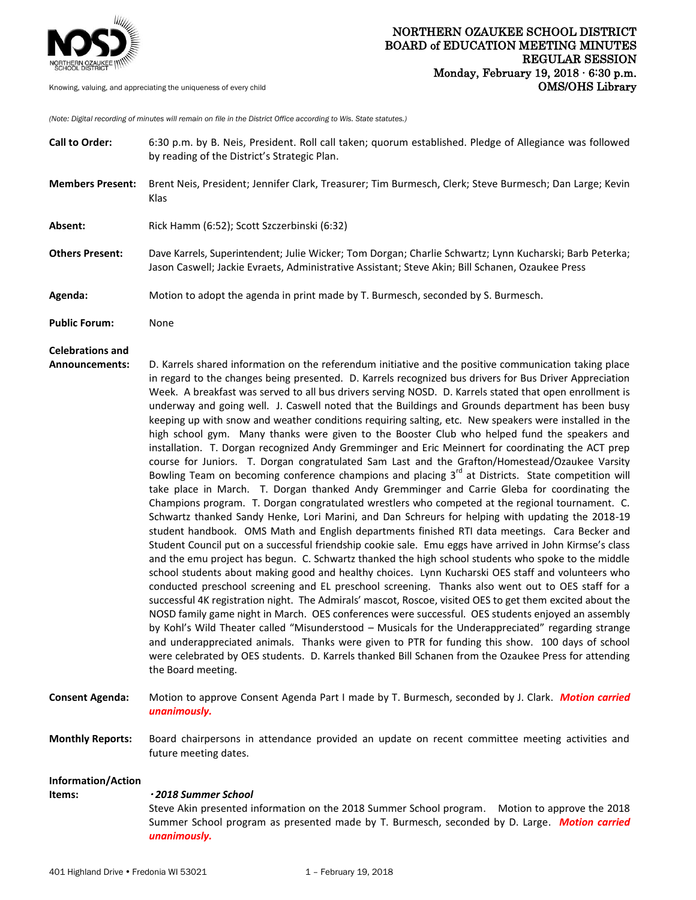

*(Note: Digital recording of minutes will remain on file in the District Office according to Wis. State statutes.)*

| <b>Call to Order:</b>                     | 6:30 p.m. by B. Neis, President. Roll call taken; quorum established. Pledge of Allegiance was followed<br>by reading of the District's Strategic Plan.                                                                                                                                                                                                                                                                                                                                                                                                                                                                                                                                                                                                                                                                                                                                                                                                                                                                                                                                                                                                                                                                                                                                                                                                                                                                                                                                                                                                                                                                                                                                                                                                                                                                                                                                                                                                                                                                                                                                                                                                                                                                                                                                                                                                                     |
|-------------------------------------------|-----------------------------------------------------------------------------------------------------------------------------------------------------------------------------------------------------------------------------------------------------------------------------------------------------------------------------------------------------------------------------------------------------------------------------------------------------------------------------------------------------------------------------------------------------------------------------------------------------------------------------------------------------------------------------------------------------------------------------------------------------------------------------------------------------------------------------------------------------------------------------------------------------------------------------------------------------------------------------------------------------------------------------------------------------------------------------------------------------------------------------------------------------------------------------------------------------------------------------------------------------------------------------------------------------------------------------------------------------------------------------------------------------------------------------------------------------------------------------------------------------------------------------------------------------------------------------------------------------------------------------------------------------------------------------------------------------------------------------------------------------------------------------------------------------------------------------------------------------------------------------------------------------------------------------------------------------------------------------------------------------------------------------------------------------------------------------------------------------------------------------------------------------------------------------------------------------------------------------------------------------------------------------------------------------------------------------------------------------------------------------|
| <b>Members Present:</b>                   | Brent Neis, President; Jennifer Clark, Treasurer; Tim Burmesch, Clerk; Steve Burmesch; Dan Large; Kevin<br>Klas                                                                                                                                                                                                                                                                                                                                                                                                                                                                                                                                                                                                                                                                                                                                                                                                                                                                                                                                                                                                                                                                                                                                                                                                                                                                                                                                                                                                                                                                                                                                                                                                                                                                                                                                                                                                                                                                                                                                                                                                                                                                                                                                                                                                                                                             |
| Absent:                                   | Rick Hamm (6:52); Scott Szczerbinski (6:32)                                                                                                                                                                                                                                                                                                                                                                                                                                                                                                                                                                                                                                                                                                                                                                                                                                                                                                                                                                                                                                                                                                                                                                                                                                                                                                                                                                                                                                                                                                                                                                                                                                                                                                                                                                                                                                                                                                                                                                                                                                                                                                                                                                                                                                                                                                                                 |
| <b>Others Present:</b>                    | Dave Karrels, Superintendent; Julie Wicker; Tom Dorgan; Charlie Schwartz; Lynn Kucharski; Barb Peterka;<br>Jason Caswell; Jackie Evraets, Administrative Assistant; Steve Akin; Bill Schanen, Ozaukee Press                                                                                                                                                                                                                                                                                                                                                                                                                                                                                                                                                                                                                                                                                                                                                                                                                                                                                                                                                                                                                                                                                                                                                                                                                                                                                                                                                                                                                                                                                                                                                                                                                                                                                                                                                                                                                                                                                                                                                                                                                                                                                                                                                                 |
| Agenda:                                   | Motion to adopt the agenda in print made by T. Burmesch, seconded by S. Burmesch.                                                                                                                                                                                                                                                                                                                                                                                                                                                                                                                                                                                                                                                                                                                                                                                                                                                                                                                                                                                                                                                                                                                                                                                                                                                                                                                                                                                                                                                                                                                                                                                                                                                                                                                                                                                                                                                                                                                                                                                                                                                                                                                                                                                                                                                                                           |
| <b>Public Forum:</b>                      | None                                                                                                                                                                                                                                                                                                                                                                                                                                                                                                                                                                                                                                                                                                                                                                                                                                                                                                                                                                                                                                                                                                                                                                                                                                                                                                                                                                                                                                                                                                                                                                                                                                                                                                                                                                                                                                                                                                                                                                                                                                                                                                                                                                                                                                                                                                                                                                        |
| <b>Celebrations and</b><br>Announcements: | D. Karrels shared information on the referendum initiative and the positive communication taking place<br>in regard to the changes being presented. D. Karrels recognized bus drivers for Bus Driver Appreciation<br>Week. A breakfast was served to all bus drivers serving NOSD. D. Karrels stated that open enrollment is<br>underway and going well. J. Caswell noted that the Buildings and Grounds department has been busy<br>keeping up with snow and weather conditions requiring salting, etc. New speakers were installed in the<br>high school gym. Many thanks were given to the Booster Club who helped fund the speakers and<br>installation. T. Dorgan recognized Andy Gremminger and Eric Meinnert for coordinating the ACT prep<br>course for Juniors. T. Dorgan congratulated Sam Last and the Grafton/Homestead/Ozaukee Varsity<br>Bowling Team on becoming conference champions and placing 3 <sup>rd</sup> at Districts. State competition will<br>take place in March. T. Dorgan thanked Andy Gremminger and Carrie Gleba for coordinating the<br>Champions program. T. Dorgan congratulated wrestlers who competed at the regional tournament. C.<br>Schwartz thanked Sandy Henke, Lori Marini, and Dan Schreurs for helping with updating the 2018-19<br>student handbook. OMS Math and English departments finished RTI data meetings. Cara Becker and<br>Student Council put on a successful friendship cookie sale. Emu eggs have arrived in John Kirmse's class<br>and the emu project has begun. C. Schwartz thanked the high school students who spoke to the middle<br>school students about making good and healthy choices. Lynn Kucharski OES staff and volunteers who<br>conducted preschool screening and EL preschool screening. Thanks also went out to OES staff for a<br>successful 4K registration night. The Admirals' mascot, Roscoe, visited OES to get them excited about the<br>NOSD family game night in March. OES conferences were successful. OES students enjoyed an assembly<br>by Kohl's Wild Theater called "Misunderstood - Musicals for the Underappreciated" regarding strange<br>and underappreciated animals. Thanks were given to PTR for funding this show. 100 days of school<br>were celebrated by OES students. D. Karrels thanked Bill Schanen from the Ozaukee Press for attending<br>the Board meeting. |
| <b>Consent Agenda:</b>                    | Motion to approve Consent Agenda Part I made by T. Burmesch, seconded by J. Clark. Motion carried<br>unanimously.                                                                                                                                                                                                                                                                                                                                                                                                                                                                                                                                                                                                                                                                                                                                                                                                                                                                                                                                                                                                                                                                                                                                                                                                                                                                                                                                                                                                                                                                                                                                                                                                                                                                                                                                                                                                                                                                                                                                                                                                                                                                                                                                                                                                                                                           |
| <b>Monthly Reports:</b>                   | Board chairpersons in attendance provided an update on recent committee meeting activities and<br>future meeting dates.                                                                                                                                                                                                                                                                                                                                                                                                                                                                                                                                                                                                                                                                                                                                                                                                                                                                                                                                                                                                                                                                                                                                                                                                                                                                                                                                                                                                                                                                                                                                                                                                                                                                                                                                                                                                                                                                                                                                                                                                                                                                                                                                                                                                                                                     |
| Information/Action<br>Items:              | <b>•2018 Summer School</b><br>Steve Akin presented information on the 2018 Summer School program. Motion to approve the 2018<br>Summer School program as presented made by T. Burmesch, seconded by D. Large. Motion carried                                                                                                                                                                                                                                                                                                                                                                                                                                                                                                                                                                                                                                                                                                                                                                                                                                                                                                                                                                                                                                                                                                                                                                                                                                                                                                                                                                                                                                                                                                                                                                                                                                                                                                                                                                                                                                                                                                                                                                                                                                                                                                                                                |